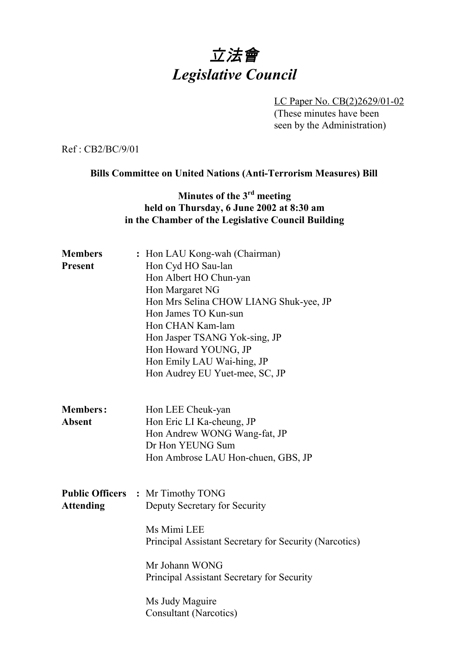# 立法會 *Legislative Council*

LC Paper No. CB(2)2629/01-02 (These minutes have been seen by the Administration)

Ref : CB2/BC/9/01

**Bills Committee on United Nations (Anti-Terrorism Measures) Bill**

## **Minutes of the 3rd meeting held on Thursday, 6 June 2002 at 8:30 am in the Chamber of the Legislative Council Building**

| <b>Members</b>   | : Hon LAU Kong-wah (Chairman)                          |
|------------------|--------------------------------------------------------|
| <b>Present</b>   | Hon Cyd HO Sau-lan                                     |
|                  | Hon Albert HO Chun-yan                                 |
|                  | Hon Margaret NG                                        |
|                  | Hon Mrs Selina CHOW LIANG Shuk-yee, JP                 |
|                  | Hon James TO Kun-sun                                   |
|                  | Hon CHAN Kam-lam                                       |
|                  | Hon Jasper TSANG Yok-sing, JP                          |
|                  | Hon Howard YOUNG, JP                                   |
|                  | Hon Emily LAU Wai-hing, JP                             |
|                  | Hon Audrey EU Yuet-mee, SC, JP                         |
|                  |                                                        |
| <b>Members:</b>  | Hon LEE Cheuk-yan                                      |
| <b>Absent</b>    | Hon Eric LI Ka-cheung, JP                              |
|                  | Hon Andrew WONG Wang-fat, JP                           |
|                  | Dr Hon YEUNG Sum                                       |
|                  | Hon Ambrose LAU Hon-chuen, GBS, JP                     |
|                  |                                                        |
|                  | <b>Public Officers : Mr Timothy TONG</b>               |
| <b>Attending</b> | Deputy Secretary for Security                          |
|                  | Ms Mimi LEE                                            |
|                  | Principal Assistant Secretary for Security (Narcotics) |
|                  | Mr Johann WONG                                         |
|                  | Principal Assistant Secretary for Security             |
|                  | Ms Judy Maguire                                        |
|                  | <b>Consultant (Narcotics)</b>                          |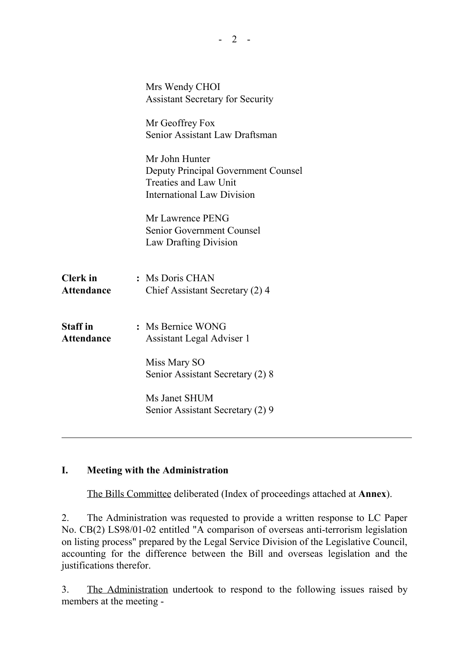|                   | Mrs Wendy CHOI                                               |
|-------------------|--------------------------------------------------------------|
|                   | <b>Assistant Secretary for Security</b>                      |
|                   | Mr Geoffrey Fox                                              |
|                   | Senior Assistant Law Draftsman                               |
|                   | Mr John Hunter                                               |
|                   | Deputy Principal Government Counsel<br>Treaties and Law Unit |
|                   | <b>International Law Division</b>                            |
|                   | Mr Lawrence PENG                                             |
|                   | Senior Government Counsel                                    |
|                   | <b>Law Drafting Division</b>                                 |
| <b>Clerk</b> in   | : Ms Doris CHAN                                              |
| <b>Attendance</b> | Chief Assistant Secretary (2) 4                              |
|                   |                                                              |
| <b>Staff</b> in   | : Ms Bernice WONG                                            |
| <b>Attendance</b> | Assistant Legal Adviser 1                                    |
|                   | Miss Mary SO                                                 |
|                   | Senior Assistant Secretary (2) 8                             |
|                   | Ms Janet SHUM                                                |
|                   | Senior Assistant Secretary (2) 9                             |
|                   |                                                              |

 $- 2 -$ 

#### **I. Meeting with the Administration**

The Bills Committee deliberated (Index of proceedings attached at **Annex**).

2. The Administration was requested to provide a written response to LC Paper No. CB(2) LS98/01-02 entitled "A comparison of overseas anti-terrorism legislation on listing process" prepared by the Legal Service Division of the Legislative Council, accounting for the difference between the Bill and overseas legislation and the justifications therefor.

3. The Administration undertook to respond to the following issues raised by members at the meeting -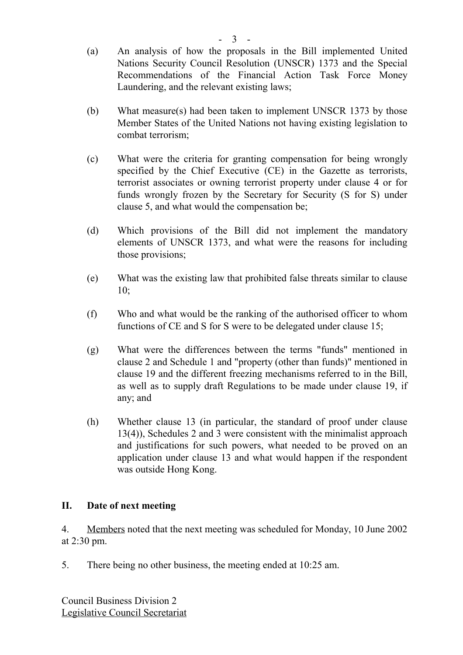- (a) An analysis of how the proposals in the Bill implemented United Nations Security Council Resolution (UNSCR) 1373 and the Special Recommendations of the Financial Action Task Force Money Laundering, and the relevant existing laws;
- (b) What measure(s) had been taken to implement UNSCR 1373 by those Member States of the United Nations not having existing legislation to combat terrorism;
- (c) What were the criteria for granting compensation for being wrongly specified by the Chief Executive (CE) in the Gazette as terrorists, terrorist associates or owning terrorist property under clause 4 or for funds wrongly frozen by the Secretary for Security (S for S) under clause 5, and what would the compensation be;
- (d) Which provisions of the Bill did not implement the mandatory elements of UNSCR 1373, and what were the reasons for including those provisions;
- (e) What was the existing law that prohibited false threats similar to clause 10;
- (f) Who and what would be the ranking of the authorised officer to whom functions of CE and S for S were to be delegated under clause 15;
- (g) What were the differences between the terms "funds" mentioned in clause 2 and Schedule 1 and "property (other than funds)" mentioned in clause 19 and the different freezing mechanisms referred to in the Bill, as well as to supply draft Regulations to be made under clause 19, if any; and
- (h) Whether clause 13 (in particular, the standard of proof under clause 13(4)), Schedules 2 and 3 were consistent with the minimalist approach and justifications for such powers, what needed to be proved on an application under clause 13 and what would happen if the respondent was outside Hong Kong.

### **II. Date of next meeting**

4. Members noted that the next meeting was scheduled for Monday, 10 June 2002 at 2:30 pm.

5. There being no other business, the meeting ended at 10:25 am.

Council Business Division 2 Legislative Council Secretariat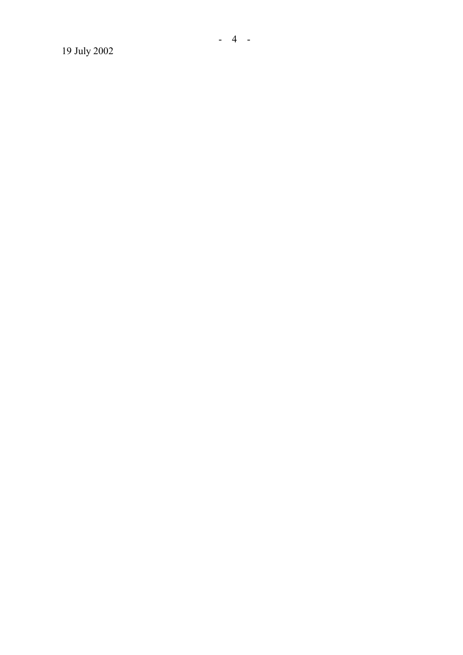19 July 2002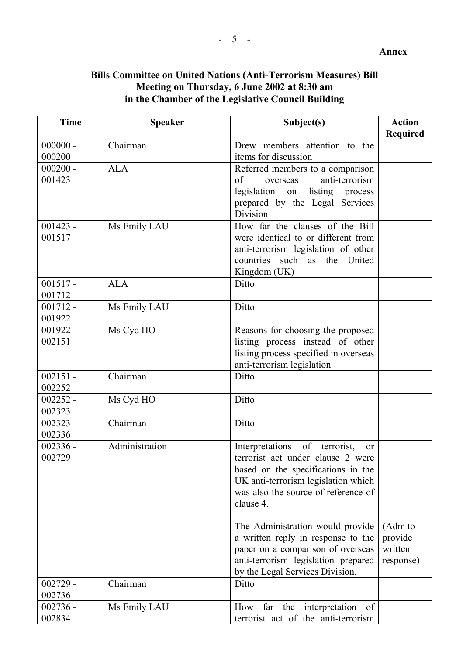**Annex**

## **Bills Committee on United Nations (Anti-Terrorism Measures) Bill Meeting on Thursday, 6 June 2002 at 8:30 am in the Chamber of the Legislative Council Building**

| <b>Time</b>          | <b>Speaker</b>         | Subject(s)                                                                  | <b>Action</b> |
|----------------------|------------------------|-----------------------------------------------------------------------------|---------------|
| $000000 -$           | $\overline{C}$ hairman | Drew members attention to the                                               | Required      |
| 000200               |                        | items for discussion                                                        |               |
| $000200 -$           | <b>ALA</b>             | Referred members to a comparison                                            |               |
| 001423               |                        | anti-terrorism<br>of<br>overseas                                            |               |
|                      |                        | legislation<br>listing<br>on<br>process                                     |               |
|                      |                        | prepared by the Legal Services                                              |               |
|                      |                        | Division                                                                    |               |
| $001423 -$           | Ms Emily LAU           | How far the clauses of the Bill                                             |               |
| 001517               |                        | were identical to or different from                                         |               |
|                      |                        | anti-terrorism legislation of other                                         |               |
|                      |                        | countries such as the United                                                |               |
|                      |                        | Kingdom (UK)                                                                |               |
| $001517 -$           | <b>ALA</b>             | Ditto                                                                       |               |
| 001712               |                        |                                                                             |               |
| $001712 -$           | Ms Emily LAU           | Ditto                                                                       |               |
| 001922               |                        |                                                                             |               |
| $001922 -$           | Ms Cyd HO              | Reasons for choosing the proposed                                           |               |
| 002151               |                        | listing process instead of other                                            |               |
|                      |                        | listing process specified in overseas                                       |               |
|                      |                        | anti-terrorism legislation                                                  |               |
| $002151 -$           | Chairman               | Ditto                                                                       |               |
| 002252               |                        |                                                                             |               |
| $002252 -$           | Ms Cyd HO              | Ditto                                                                       |               |
| 002323               |                        |                                                                             |               |
| $002323 -$<br>002336 | Chairman               | Ditto                                                                       |               |
| $002336 -$           | Administration         |                                                                             |               |
| 002729               |                        | of terrorist,<br>Interpretations<br>or<br>terrorist act under clause 2 were |               |
|                      |                        | based on the specifications in the                                          |               |
|                      |                        | UK anti-terrorism legislation which                                         |               |
|                      |                        | was also the source of reference of                                         |               |
|                      |                        | clause 4.                                                                   |               |
|                      |                        |                                                                             |               |
|                      |                        | The Administration would provide                                            | (Adm to       |
|                      |                        | a written reply in response to the                                          | provide       |
|                      |                        | paper on a comparison of overseas                                           | written       |
|                      |                        | anti-terrorism legislation prepared                                         | response)     |
|                      |                        | by the Legal Services Division.                                             |               |
| $002729 -$           | Chairman               | Ditto                                                                       |               |
| 002736               |                        |                                                                             |               |
| $002736 -$           | Ms Emily LAU           | far<br>the<br>interpretation<br>How<br>- of                                 |               |
| 002834               |                        | terrorist act of the anti-terrorism                                         |               |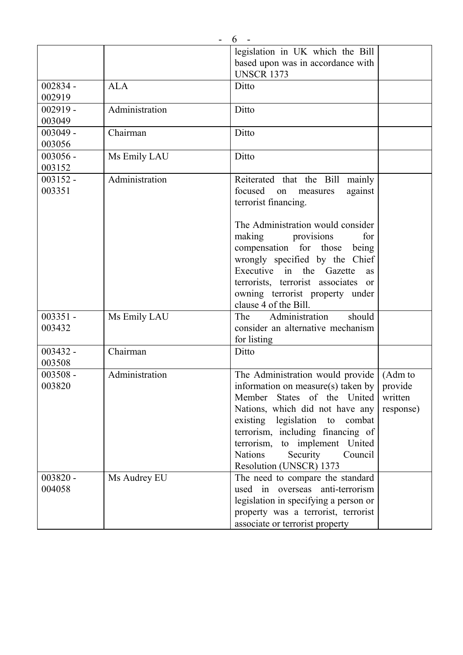|                      |                | legislation in UK which the Bill<br>based upon was in accordance with                                                                                                                                                                                                      |           |
|----------------------|----------------|----------------------------------------------------------------------------------------------------------------------------------------------------------------------------------------------------------------------------------------------------------------------------|-----------|
|                      |                | <b>UNSCR 1373</b>                                                                                                                                                                                                                                                          |           |
| $002834 -$           | <b>ALA</b>     | Ditto                                                                                                                                                                                                                                                                      |           |
| 002919               |                |                                                                                                                                                                                                                                                                            |           |
| $002919 -$           | Administration | Ditto                                                                                                                                                                                                                                                                      |           |
| 003049               |                |                                                                                                                                                                                                                                                                            |           |
| $003049 -$           | Chairman       | Ditto                                                                                                                                                                                                                                                                      |           |
| 003056               |                |                                                                                                                                                                                                                                                                            |           |
| $003056 -$           | Ms Emily LAU   | Ditto                                                                                                                                                                                                                                                                      |           |
| 003152               |                |                                                                                                                                                                                                                                                                            |           |
| $003152 -$           | Administration | Reiterated that the Bill mainly                                                                                                                                                                                                                                            |           |
| 003351               |                | focused<br>against<br>on<br>measures<br>terrorist financing.                                                                                                                                                                                                               |           |
|                      |                | The Administration would consider<br>making<br>for<br>provisions<br>compensation for those<br>being<br>wrongly specified by the Chief<br>Executive in the Gazette<br>as<br>terrorists, terrorist associates or<br>owning terrorist property under<br>clause 4 of the Bill. |           |
| $003351 -$<br>003432 | Ms Emily LAU   | Administration<br>should<br>The<br>consider an alternative mechanism<br>for listing                                                                                                                                                                                        |           |
| $003432 -$           | Chairman       | Ditto                                                                                                                                                                                                                                                                      |           |
| 003508               |                |                                                                                                                                                                                                                                                                            |           |
| $003508 -$           | Administration | The Administration would provide                                                                                                                                                                                                                                           | (Adm to   |
| 003820               |                | information on measure(s) taken by                                                                                                                                                                                                                                         | provide   |
|                      |                | Member States of the United                                                                                                                                                                                                                                                | written   |
|                      |                | Nations, which did not have any                                                                                                                                                                                                                                            | response) |
|                      |                | existing legislation to<br>combat                                                                                                                                                                                                                                          |           |
|                      |                | terrorism, including financing of                                                                                                                                                                                                                                          |           |
|                      |                | terrorism, to implement United                                                                                                                                                                                                                                             |           |
|                      |                | <b>Nations</b><br>Security<br>Council                                                                                                                                                                                                                                      |           |
|                      |                | Resolution (UNSCR) 1373                                                                                                                                                                                                                                                    |           |
| $003820 -$           | Ms Audrey EU   | The need to compare the standard                                                                                                                                                                                                                                           |           |
| 004058               |                | used in overseas anti-terrorism                                                                                                                                                                                                                                            |           |
|                      |                | legislation in specifying a person or                                                                                                                                                                                                                                      |           |
|                      |                | property was a terrorist, terrorist                                                                                                                                                                                                                                        |           |
|                      |                | associate or terrorist property                                                                                                                                                                                                                                            |           |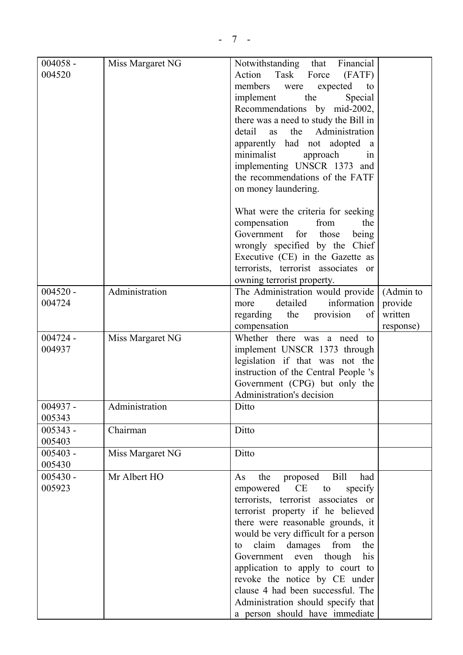| $004058 -$<br>004520 | Miss Margaret NG | Notwithstanding that Financial<br>Action<br>Task<br>(FATF)<br>Force<br>members<br>expected<br>were<br>to<br>the<br>Special<br>implement<br>Recommendations by mid-2002,<br>there was a need to study the Bill in<br>Administration<br>detail<br>the<br>as<br>apparently had not adopted a<br>minimalist<br>approach<br>1n<br>implementing UNSCR 1373 and<br>the recommendations of the FATF<br>on money laundering.                                                                                        |                                              |
|----------------------|------------------|------------------------------------------------------------------------------------------------------------------------------------------------------------------------------------------------------------------------------------------------------------------------------------------------------------------------------------------------------------------------------------------------------------------------------------------------------------------------------------------------------------|----------------------------------------------|
|                      |                  | What were the criteria for seeking<br>from<br>the<br>compensation<br>Government for<br>those<br>being<br>wrongly specified by the Chief<br>Executive (CE) in the Gazette as<br>terrorists, terrorist associates or<br>owning terrorist property.                                                                                                                                                                                                                                                           |                                              |
| $004520 -$<br>004724 | Administration   | The Administration would provide<br>information<br>detailed<br>more<br>provision<br>regarding the<br>of<br>compensation                                                                                                                                                                                                                                                                                                                                                                                    | (Admin to<br>provide<br>written<br>response) |
| $004724 -$<br>004937 | Miss Margaret NG | Whether there was a need to<br>implement UNSCR 1373 through<br>legislation if that was not the<br>instruction of the Central People 's<br>Government (CPG) but only the<br>Administration's decision                                                                                                                                                                                                                                                                                                       |                                              |
| 004937 -<br>005343   | Administration   | Ditto                                                                                                                                                                                                                                                                                                                                                                                                                                                                                                      |                                              |
| $005343 -$<br>005403 | Chairman         | Ditto                                                                                                                                                                                                                                                                                                                                                                                                                                                                                                      |                                              |
| $005403 -$<br>005430 | Miss Margaret NG | Ditto                                                                                                                                                                                                                                                                                                                                                                                                                                                                                                      |                                              |
| $005430 -$<br>005923 | Mr Albert HO     | <b>Bill</b><br>proposed<br>the<br>As<br>had<br>CE<br>empowered<br>specify<br>to<br>terrorists, terrorist associates or<br>terrorist property if he believed<br>there were reasonable grounds, it<br>would be very difficult for a person<br>from<br>claim<br>damages<br>the<br>to<br>Government<br>though<br>his<br>even<br>application to apply to court to<br>revoke the notice by CE under<br>clause 4 had been successful. The<br>Administration should specify that<br>a person should have immediate |                                              |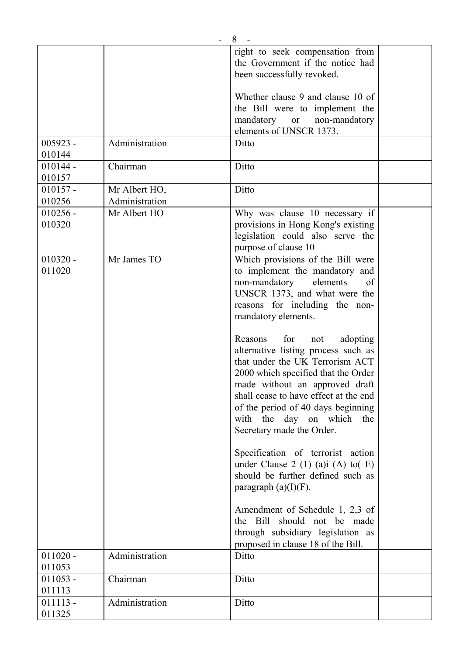|            |                | 8                                     |  |
|------------|----------------|---------------------------------------|--|
|            |                | right to seek compensation from       |  |
|            |                | the Government if the notice had      |  |
|            |                | been successfully revoked.            |  |
|            |                |                                       |  |
|            |                | Whether clause 9 and clause 10 of     |  |
|            |                | the Bill were to implement the        |  |
|            |                | mandatory or non-mandatory            |  |
|            |                | elements of UNSCR 1373.               |  |
| $005923 -$ | Administration | Ditto                                 |  |
| 010144     |                |                                       |  |
| $010144 -$ | Chairman       | Ditto                                 |  |
| 010157     |                |                                       |  |
| $010157 -$ | Mr Albert HO,  | Ditto                                 |  |
| 010256     | Administration |                                       |  |
| $010256 -$ | Mr Albert HO   | Why was clause 10 necessary if        |  |
| 010320     |                | provisions in Hong Kong's existing    |  |
|            |                | legislation could also serve the      |  |
|            |                | purpose of clause 10                  |  |
| $010320 -$ | Mr James TO    | Which provisions of the Bill were     |  |
| 011020     |                | to implement the mandatory and        |  |
|            |                | non-mandatory<br>elements<br>of       |  |
|            |                | UNSCR 1373, and what were the         |  |
|            |                | reasons for including the non-        |  |
|            |                | mandatory elements.                   |  |
|            |                |                                       |  |
|            |                | Reasons<br>for<br>adopting<br>not     |  |
|            |                | alternative listing process such as   |  |
|            |                | that under the UK Terrorism ACT       |  |
|            |                | 2000 which specified that the Order   |  |
|            |                | made without an approved draft        |  |
|            |                | shall cease to have effect at the end |  |
|            |                | of the period of 40 days beginning    |  |
|            |                | with the day on which<br>the          |  |
|            |                | Secretary made the Order.             |  |
|            |                |                                       |  |
|            |                | Specification of terrorist action     |  |
|            |                | under Clause 2 (1) (a)i (A) to( $E$ ) |  |
|            |                | should be further defined such as     |  |
|            |                | paragraph $(a)(I)(F)$ .               |  |
|            |                |                                       |  |
|            |                | Amendment of Schedule 1, 2,3 of       |  |
|            |                | the Bill should not be made           |  |
|            |                | through subsidiary legislation as     |  |
|            |                | proposed in clause 18 of the Bill.    |  |
| $011020 -$ | Administration | Ditto                                 |  |
| 011053     |                |                                       |  |
| $011053 -$ | Chairman       | Ditto                                 |  |
| 011113     |                |                                       |  |
| $011113 -$ | Administration | Ditto                                 |  |
| 011325     |                |                                       |  |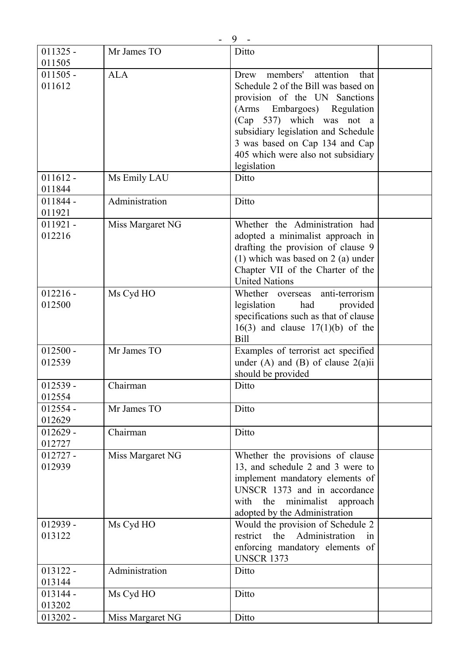|            |                  | 9                                     |  |
|------------|------------------|---------------------------------------|--|
| $011325 -$ | Mr James TO      | Ditto                                 |  |
| 011505     |                  |                                       |  |
| $011505 -$ | <b>ALA</b>       | attention<br>members'<br>that<br>Drew |  |
| 011612     |                  | Schedule 2 of the Bill was based on   |  |
|            |                  | provision of the UN Sanctions         |  |
|            |                  | Embargoes) Regulation<br>(Arms)       |  |
|            |                  | (Cap 537) which was not a             |  |
|            |                  | subsidiary legislation and Schedule   |  |
|            |                  | 3 was based on Cap 134 and Cap        |  |
|            |                  | 405 which were also not subsidiary    |  |
|            |                  | legislation                           |  |
| $011612 -$ | Ms Emily LAU     | Ditto                                 |  |
| 011844     |                  |                                       |  |
| $011844 -$ | Administration   | Ditto                                 |  |
| 011921     |                  |                                       |  |
| $011921 -$ | Miss Margaret NG | Whether the Administration had        |  |
| 012216     |                  | adopted a minimalist approach in      |  |
|            |                  | drafting the provision of clause 9    |  |
|            |                  | $(1)$ which was based on 2 (a) under  |  |
|            |                  | Chapter VII of the Charter of the     |  |
|            |                  | <b>United Nations</b>                 |  |
| $012216 -$ | Ms Cyd HO        | anti-terrorism<br>Whether overseas    |  |
| 012500     |                  | legislation<br>had<br>provided        |  |
|            |                  | specifications such as that of clause |  |
|            |                  | $16(3)$ and clause $17(1)(b)$ of the  |  |
|            |                  | <b>Bill</b>                           |  |
| $012500 -$ | Mr James TO      | Examples of terrorist act specified   |  |
| 012539     |                  | under (A) and (B) of clause $2(a)$ ii |  |
|            |                  | should be provided                    |  |
| $012539 -$ | Chairman         | Ditto                                 |  |
| 012554     |                  |                                       |  |
| $012554 -$ | Mr James TO      | Ditto                                 |  |
| 012629     |                  |                                       |  |
| $012629 -$ | Chairman         | Ditto                                 |  |
| 012727     |                  |                                       |  |
| $012727 -$ | Miss Margaret NG | Whether the provisions of clause      |  |
| 012939     |                  | 13, and schedule 2 and 3 were to      |  |
|            |                  | implement mandatory elements of       |  |
|            |                  | UNSCR 1373 and in accordance          |  |
|            |                  | with the minimalist approach          |  |
|            |                  | adopted by the Administration         |  |
| $012939 -$ | Ms Cyd HO        | Would the provision of Schedule 2     |  |
| 013122     |                  | restrict the Administration<br>in     |  |
|            |                  | enforcing mandatory elements of       |  |
|            |                  | <b>UNSCR 1373</b>                     |  |
| $013122 -$ | Administration   | Ditto                                 |  |
| 013144     |                  |                                       |  |
| $013144 -$ | Ms Cyd HO        | Ditto                                 |  |
| 013202     |                  |                                       |  |
| $013202 -$ | Miss Margaret NG | Ditto                                 |  |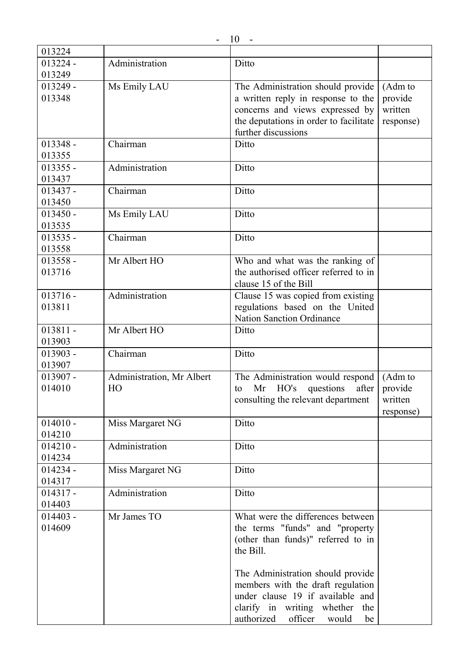| 013224               |                           |                                        |           |
|----------------------|---------------------------|----------------------------------------|-----------|
| $013224 -$           | Administration            | Ditto                                  |           |
| 013249               |                           |                                        |           |
| $013249 -$           | Ms Emily LAU              | The Administration should provide      | (Adm to   |
| 013348               |                           | a written reply in response to the     | provide   |
|                      |                           | concerns and views expressed by        | written   |
|                      |                           | the deputations in order to facilitate | response) |
|                      |                           | further discussions                    |           |
| $013348 -$           | Chairman                  |                                        |           |
|                      |                           | Ditto                                  |           |
| 013355               |                           |                                        |           |
| $013355 -$           | Administration            | Ditto                                  |           |
| 013437               |                           |                                        |           |
| $013437 -$           | Chairman                  | Ditto                                  |           |
| 013450               |                           |                                        |           |
| $013450 -$           | Ms Emily LAU              | Ditto                                  |           |
| 013535               |                           |                                        |           |
| $013535 -$           | Chairman                  | Ditto                                  |           |
| 013558               |                           |                                        |           |
| $013558 -$           | Mr Albert HO              | Who and what was the ranking of        |           |
| 013716               |                           | the authorised officer referred to in  |           |
|                      |                           | clause 15 of the Bill                  |           |
| $013716 -$           | Administration            | Clause 15 was copied from existing     |           |
| 013811               |                           | regulations based on the United        |           |
|                      |                           | <b>Nation Sanction Ordinance</b>       |           |
| $013811 -$           | Mr Albert HO              | Ditto                                  |           |
| 013903               |                           |                                        |           |
| $013903 -$           | Chairman                  | Ditto                                  |           |
| 013907               |                           |                                        |           |
|                      |                           |                                        |           |
| $013907 -$<br>014010 | Administration, Mr Albert | The Administration would respond       | (Adm to   |
|                      | HO                        | HO's<br>Mr<br>questions<br>after<br>to | provide   |
|                      |                           | consulting the relevant department     | written   |
|                      |                           |                                        | response) |
| $014010 -$           | Miss Margaret NG          | Ditto                                  |           |
| 014210               |                           |                                        |           |
| $014210 -$           | Administration            | Ditto                                  |           |
| 014234               |                           |                                        |           |
| $014234 -$           | Miss Margaret NG          | Ditto                                  |           |
| 014317               |                           |                                        |           |
| $014317 -$           | Administration            | Ditto                                  |           |
| 014403               |                           |                                        |           |
| $014403 -$           | Mr James TO               | What were the differences between      |           |
| 014609               |                           | the terms "funds" and "property        |           |
|                      |                           | (other than funds)" referred to in     |           |
|                      |                           | the Bill.                              |           |
|                      |                           |                                        |           |
|                      |                           | The Administration should provide      |           |
|                      |                           | members with the draft regulation      |           |
|                      |                           | under clause 19 if available and       |           |
|                      |                           | clarify in writing whether<br>the      |           |
|                      |                           | authorized<br>officer<br>would<br>be   |           |